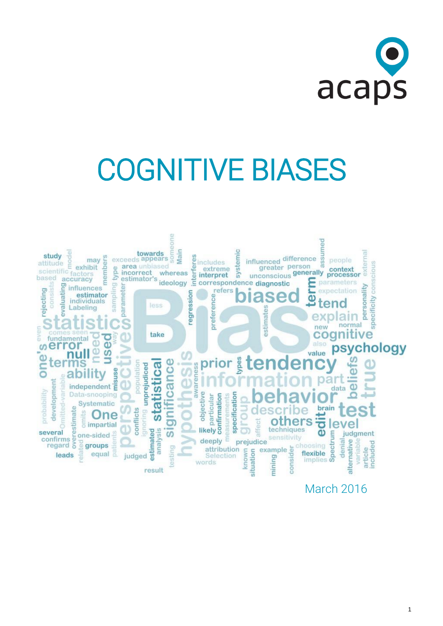

# COGNITIVE BIASES



March 2016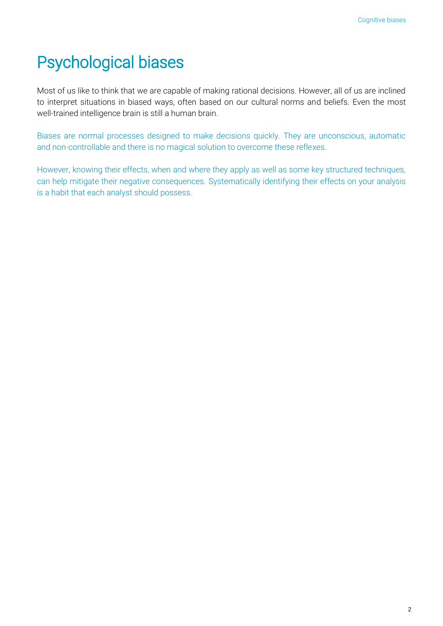# Psychological biases

Most of us like to think that we are capable of making rational decisions. However, all of us are inclined to interpret situations in biased ways, often based on our cultural norms and beliefs. Even the most well-trained intelligence brain is still a human brain.

Biases are normal processes designed to make decisions quickly. They are unconscious, automatic and non-controllable and there is no magical solution to overcome these reflexes.

However, knowing their effects, when and where they apply as well as some key structured techniques, can help mitigate their negative consequences. Systematically identifying their effects on your analysis is a habit that each analyst should possess.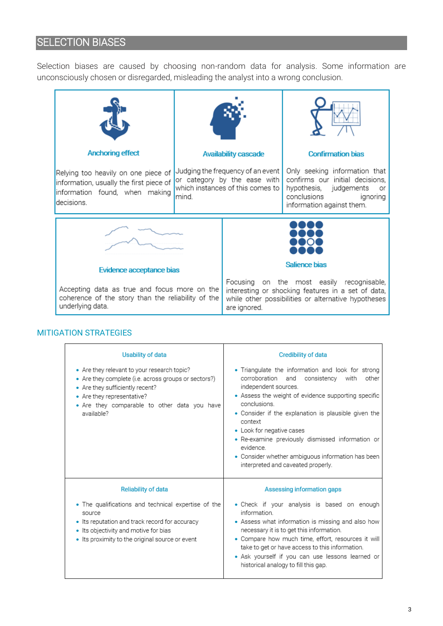#### **SELECTION BIASES**

Selection biases are caused by choosing non-random data for analysis. Some information are unconsciously chosen or disregarded, misleading the analyst into a wrong conclusion.



| <b>Usability of data</b>                                                                                                                                                                                                           | <b>Credibility of data</b>                                                                                                                                                                                                                                                                                                                                                                                                                                  |
|------------------------------------------------------------------------------------------------------------------------------------------------------------------------------------------------------------------------------------|-------------------------------------------------------------------------------------------------------------------------------------------------------------------------------------------------------------------------------------------------------------------------------------------------------------------------------------------------------------------------------------------------------------------------------------------------------------|
| • Are they relevant to your research topic?<br>• Are they complete (i.e. across groups or sectors?)<br>• Are they sufficiently recent?<br>• Are they representative?<br>• Are they comparable to other data you have<br>available? | • Triangulate the information and look for strong<br>corroboration and consistency with<br>other<br>independent sources.<br>• Assess the weight of evidence supporting specific<br>conclusions.<br>• Consider if the explanation is plausible given the<br>context<br>• Look for negative cases<br>• Re-examine previously dismissed information or<br>evidence.<br>• Consider whether ambiguous information has been<br>interpreted and caveated properly. |
| <b>Reliability of data</b>                                                                                                                                                                                                         | Assessing information gaps                                                                                                                                                                                                                                                                                                                                                                                                                                  |
| • The qualifications and technical expertise of the<br>source<br>• Its reputation and track record for accuracy<br>• Its objectivity and motive for bias<br>• Its proximity to the original source or event                        | · Check if your analysis is based on enough<br>information.<br>• Assess what information is missing and also how<br>necessary it is to get this information.<br>• Compare how much time, effort, resources it will<br>take to get or have access to this information.<br>• Ask yourself if you can use lessons learned or<br>historical analogy to fill this gap.                                                                                           |

#### MITIGATION STRATEGIES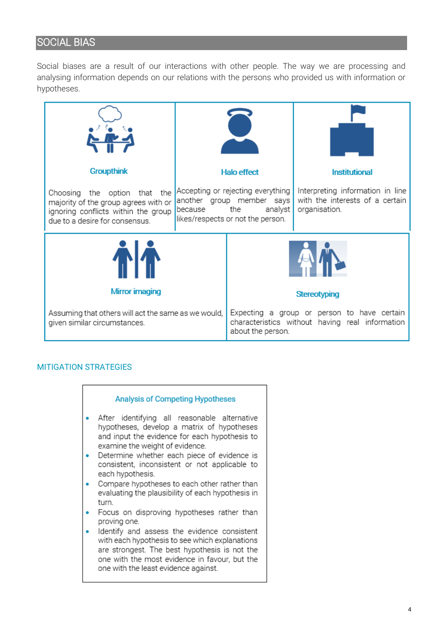#### SOCIAL BIAS

Social biases are a result of our interactions with other people. The way we are processing and analysing information depends on our relations with the persons who provided us with information or hypotheses.



#### MITIGATION STRATEGIES

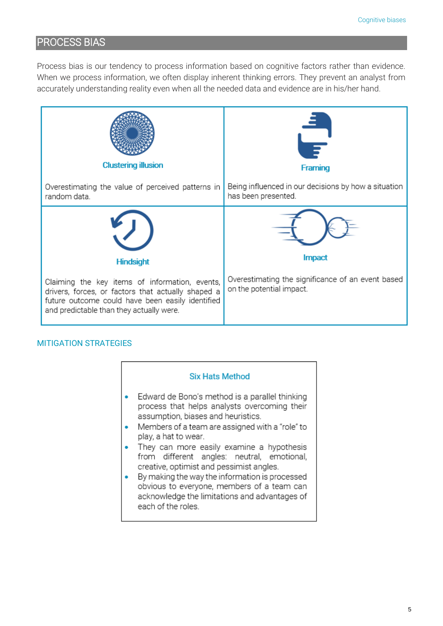#### PROCESS BIAS

Process bias is our tendency to process information based on cognitive factors rather than evidence. When we process information, we often display inherent thinking errors. They prevent an analyst from accurately understanding reality even when all the needed data and evidence are in his/her hand.



#### MITIGATION STRATEGIES

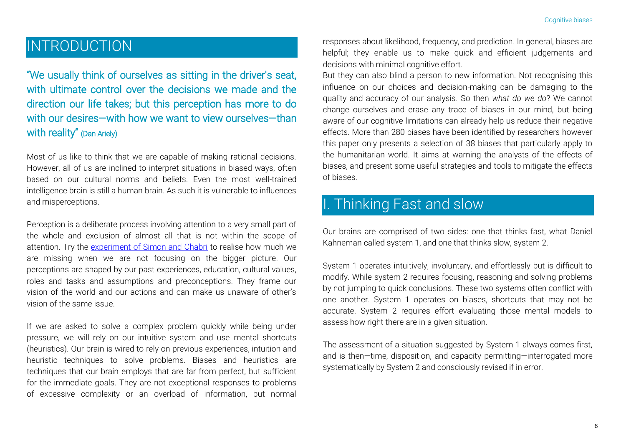### INTRODUCTION

"We usually think of ourselves as sitting in the driver's seat, with ultimate control over the decisions we made and the direction our life takes; but this perception has more to do with our desires—with how we want to view ourselves—than with reality" (Dan Ariely)

Most of us like to think that we are capable of making rational decisions. However, all of us are inclined to interpret situations in biased ways, often based on our cultural norms and beliefs. Even the most well-trained intelligence brain is still a human brain. As such it is vulnerable to influences and misperceptions.

Perception is a deliberate process involving attention to a very small part of the whole and exclusion of almost all that is not within the scope of attention. Try the [experiment of Simon and Chabri](https://www.youtube.com/watch?v=vJG698U2Mvo) to realise how much we are missing when we are not focusing on the bigger picture. Our perceptions are shaped by our past experiences, education, cultural values, roles and tasks and assumptions and preconceptions. They frame our vision of the world and our actions and can make us unaware of other's vision of the same issue.

If we are asked to solve a complex problem quickly while being under pressure, we will rely on our intuitive system and use mental shortcuts (heuristics). Our brain is wired to rely on previous experiences, intuition and heuristic techniques to solve problems. Biases and heuristics are techniques that our brain employs that are far from perfect, but sufficient for the immediate goals. They are not exceptional responses to problems of excessive complexity or an overload of information, but normal

responses about likelihood, frequency, and prediction. In general, biases are helpful; they enable us to make quick and efficient judgements and decisions with minimal cognitive effort.

But they can also blind a person to new information. Not recognising this influence on our choices and decision-making can be damaging to the quality and accuracy of our analysis. So then *what do we do*? We cannot change ourselves and erase any trace of biases in our mind, but being aware of our cognitive limitations can already help us reduce their negative effects. More than 280 biases have been identified by researchers however this paper only presents a selection of 38 biases that particularly apply to the humanitarian world. It aims at warning the analysts of the effects of biases, and present some useful strategies and tools to mitigate the effects of biases.

## I. Thinking Fast and slow

Our brains are comprised of two sides: one that thinks fast, what Daniel Kahneman called system 1, and one that thinks slow, system 2.

System 1 operates intuitively, involuntary, and effortlessly but is difficult to modify. While system 2 requires focusing, reasoning and solving problems by not jumping to quick conclusions. These two systems often conflict with one another. System 1 operates on biases, shortcuts that may not be accurate. System 2 requires effort evaluating those mental models to assess how right there are in a given situation.

The assessment of a situation suggested by System 1 always comes first, and is then—time, disposition, and capacity permitting—interrogated more systematically by System 2 and consciously revised if in error.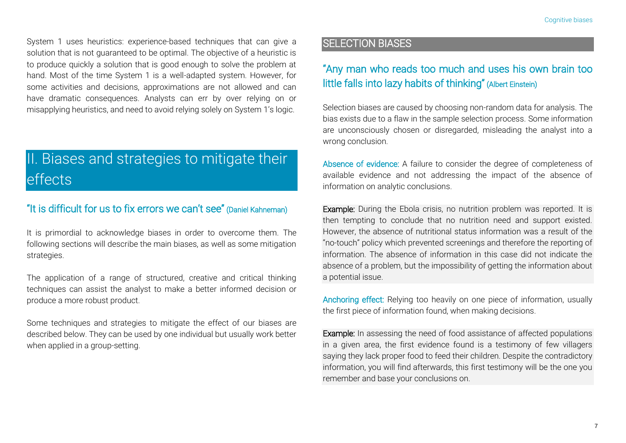System 1 uses heuristics: experience-based techniques that can give a solution that is not guaranteed to be optimal. The objective of a heuristic is to produce quickly a solution that is good enough to solve the problem at hand. Most of the time System 1 is a well-adapted system. However, for some activities and decisions, approximations are not allowed and can have dramatic consequences. Analysts can err by over relying on or misapplying heuristics, and need to avoid relying solely on System 1's logic.

## II. Biases and strategies to mitigate their effects

#### "It is difficult for us to fix errors we can't see" (Daniel Kahneman)

It is primordial to acknowledge biases in order to overcome them. The following sections will describe the main biases, as well as some mitigation strategies.

The application of a range of structured, creative and critical thinking techniques can assist the analyst to make a better informed decision or produce a more robust product.

Some techniques and strategies to mitigate the effect of our biases are described below. They can be used by one individual but usually work better when applied in a group-setting.

#### SELECTION BIASES

#### "Any man who reads too much and uses his own brain too little falls into lazy habits of thinking" (Albert Einstein)

Selection biases are caused by choosing non-random data for analysis. The bias exists due to a flaw in the sample selection process. Some information are unconsciously chosen or disregarded, misleading the analyst into a wrong conclusion.

Absence of evidence: A failure to consider the degree of completeness of available evidence and not addressing the impact of the absence of information on analytic conclusions.

Example: During the Ebola crisis, no nutrition problem was reported. It is then tempting to conclude that no nutrition need and support existed. However, the absence of nutritional status information was a result of the "no-touch" policy which prevented screenings and therefore the reporting of information. The absence of information in this case did not indicate the absence of a problem, but the impossibility of getting the information about a potential issue.

Anchoring effect: Relying too heavily on one piece of information, usually the first piece of information found, when making decisions.

Example: In assessing the need of food assistance of affected populations in a given area, the first evidence found is a testimony of few villagers saying they lack proper food to feed their children. Despite the contradictory information, you will find afterwards, this first testimony will be the one you remember and base your conclusions on.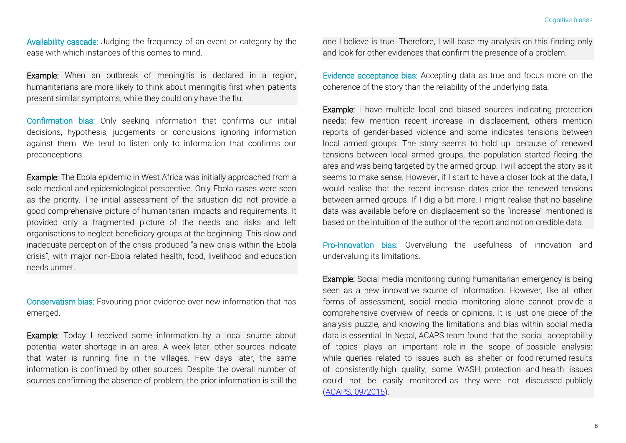Availability cascade: Judging the frequency of an event or category by the ease with which instances of this comes to mind.

Example: When an outbreak of meningitis is declared in a region, humanitarians are more likely to think about meningitis first when patients present similar symptoms, while they could only have the flu.

Confirmation bias: Only seeking information that confirms our initial decisions, hypothesis, judgements or conclusions ignoring information against them. We tend to listen only to information that confirms our preconceptions.

Example: The Ebola epidemic in West Africa was initially approached from a sole medical and epidemiological perspective. Only Ebola cases were seen as the priority. The initial assessment of the situation did not provide a good comprehensive picture of humanitarian impacts and requirements. It provided only a fragmented picture of the needs and risks and left organisations to neglect beneficiary groups at the beginning. This slow and inadequate perception of the crisis produced "a new crisis within the Ebola crisis", with major non-Ebola related health, food, livelihood and education needs unmet.

Conservatism bias: Favouring prior evidence over new information that has emerged.

Example: Today I received some information by a local source about potential water shortage in an area. A week later, other sources indicate that water is running fine in the villages. Few days later, the same information is confirmed by other sources. Despite the overall number of sources confirming the absence of problem, the prior information is still the one I believe is true. Therefore, I will base my analysis on this finding only and look for other evidences that confirm the presence of a problem.

Evidence acceptance bias: Accepting data as true and focus more on the coherence of the story than the reliability of the underlying data.

Example: I have multiple local and biased sources indicating protection needs: few mention recent increase in displacement, others mention reports of gender-based violence and some indicates tensions between local armed groups. The story seems to hold up: because of renewed tensions between local armed groups, the population started fleeing the area and was being targeted by the armed group. I will accept the story as it seems to make sense. However, if I start to have a closer look at the data, I would realise that the recent increase dates prior the renewed tensions between armed groups. If I dig a bit more, I might realise that no baseline data was available before on displacement so the "increase" mentioned is based on the intuition of the author of the report and not on credible data.

Pro-innovation bias: Overvaluing the usefulness of innovation and undervaluing its limitations.

Example: Social media monitoring during humanitarian emergency is being seen as a new innovative source of information. However, like all other forms of assessment, social media monitoring alone cannot provide a comprehensive overview of needs or opinions. It is just one piece of the analysis puzzle, and knowing the limitations and bias within social media data is essential. In Nepal, ACAPS team found that the social acceptability of topics plays an important role in the scope of possible analysis: while queries related to issues such as shelter or food returned results of consistently high quality, some WASH, protection and health issues could not be easily monitored as they were not discussed publicly [\(ACAPS, 09/2015\)](http://www.acaps.org/img/documents/l-nepal-acaps-lessons-learned-social-media-monitoring-sep-2015.pdf).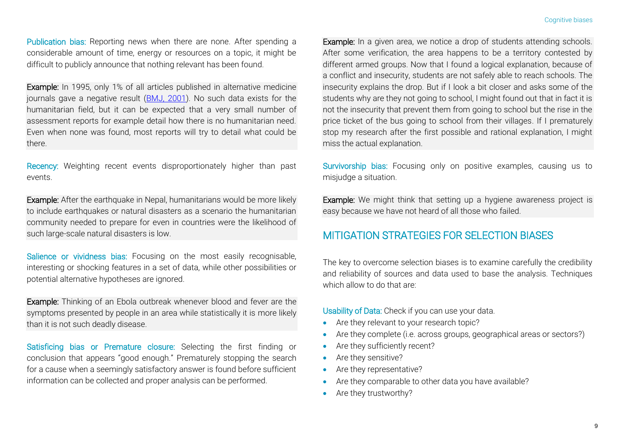Publication bias: Reporting news when there are none. After spending a considerable amount of time, energy or resources on a topic, it might be difficult to publicly announce that nothing relevant has been found.

Example: In 1995, only 1% of all articles published in alternative medicine journals gave a negative result [\(BMJ, 2001\)](http://www.bmj.com/content/323/7320/1071.2.full). No such data exists for the humanitarian field, but it can be expected that a very small number of assessment reports for example detail how there is no humanitarian need. Even when none was found, most reports will try to detail what could be there.

Recency: Weighting recent events disproportionately higher than past events.

Example: After the earthquake in Nepal, humanitarians would be more likely to include earthquakes or natural disasters as a scenario the humanitarian community needed to prepare for even in countries were the likelihood of such large-scale natural disasters is low.

Salience or vividness bias: Focusing on the most easily recognisable, interesting or shocking features in a set of data, while other possibilities or potential alternative hypotheses are ignored.

Example: Thinking of an Ebola outbreak whenever blood and fever are the symptoms presented by people in an area while statistically it is more likely than it is not such deadly disease.

Satisficing bias or Premature closure: Selecting the first finding or conclusion that appears "good enough." Prematurely stopping the search for a cause when a seemingly satisfactory answer is found before sufficient information can be collected and proper analysis can be performed.

Example: In a given area, we notice a drop of students attending schools. After some verification, the area happens to be a territory contested by different armed groups. Now that I found a logical explanation, because of a conflict and insecurity, students are not safely able to reach schools. The insecurity explains the drop. But if I look a bit closer and asks some of the students why are they not going to school, I might found out that in fact it is not the insecurity that prevent them from going to school but the rise in the price ticket of the bus going to school from their villages. If I prematurely stop my research after the first possible and rational explanation, I might miss the actual explanation.

Survivorship bias: Focusing only on positive examples, causing us to misjudge a situation.

Example: We might think that setting up a hygiene awareness project is easy because we have not heard of all those who failed.

#### MITIGATION STRATEGIES FOR SELECTION BIASES

The key to overcome selection biases is to examine carefully the credibility and reliability of sources and data used to base the analysis. Techniques which allow to do that are:

Usability of Data: Check if you can use your data.

- Are they relevant to your research topic?
- Are they complete (i.e. across groups, geographical areas or sectors?)
- Are they sufficiently recent?
- Are they sensitive?
- Are they representative?
- Are they comparable to other data you have available?
- Are they trustworthy?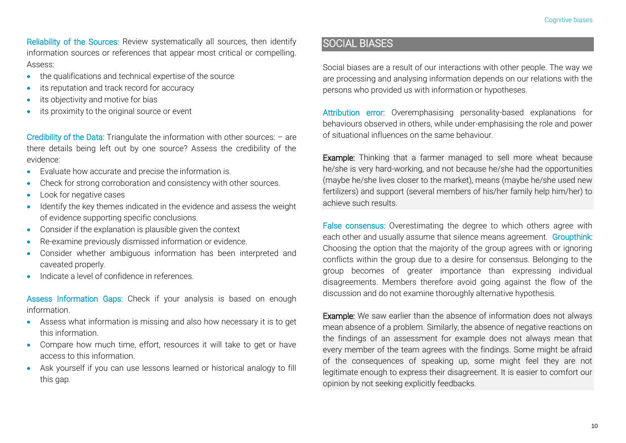Reliability of the Sources: Review systematically all sources, then identify information sources or references that appear most critical or compelling. Assess:

- the qualifications and technical expertise of the source
- its reputation and track record for accuracy
- its objectivity and motive for bias
- **•** its proximity to the original source or event

Credibility of the Data: Triangulate the information with other sources: – are there details being left out by one source? Assess the credibility of the evidence:

- Evaluate how accurate and precise the information is.
- Check for strong corroboration and consistency with other sources.
- Look for negative cases
- Identify the key themes indicated in the evidence and assess the weight of evidence supporting specific conclusions.
- Consider if the explanation is plausible given the context
- Re-examine previously dismissed information or evidence.
- Consider whether ambiguous information has been interpreted and caveated properly.
- Indicate a level of confidence in references.

Assess Information Gaps: Check if your analysis is based on enough information.

- Assess what information is missing and also how necessary it is to get this information.
- Compare how much time, effort, resources it will take to get or have access to this information.
- Ask yourself if you can use lessons learned or historical analogy to fill this gap.

#### SOCIAL BIASES

Social biases are a result of our interactions with other people. The way we are processing and analysing information depends on our relations with the persons who provided us with information or hypotheses.

Attribution error: Overemphasising personality-based explanations for behaviours observed in others, while under-emphasising the role and power of situational influences on the same behaviour.

Example: Thinking that a farmer managed to sell more wheat because he/she is very hard-working, and not because he/she had the opportunities (maybe he/she lives closer to the market), means (maybe he/she used new fertilizers) and support (several members of his/her family help him/her) to achieve such results.

False consensus: Overestimating the degree to which others agree with each other and usually assume that silence means agreement. Groupthink: Choosing the option that the majority of the group agrees with or ignoring conflicts within the group due to a desire for consensus. Belonging to the group becomes of greater importance than expressing individual disagreements. Members therefore avoid going against the flow of the discussion and do not examine thoroughly alternative hypothesis.

Example: We saw earlier than the absence of information does not always mean absence of a problem. Similarly, the absence of negative reactions on the findings of an assessment for example does not always mean that every member of the team agrees with the findings. Some might be afraid of the consequences of speaking up, some might feel they are not legitimate enough to express their disagreement. It is easier to comfort our opinion by not seeking explicitly feedbacks.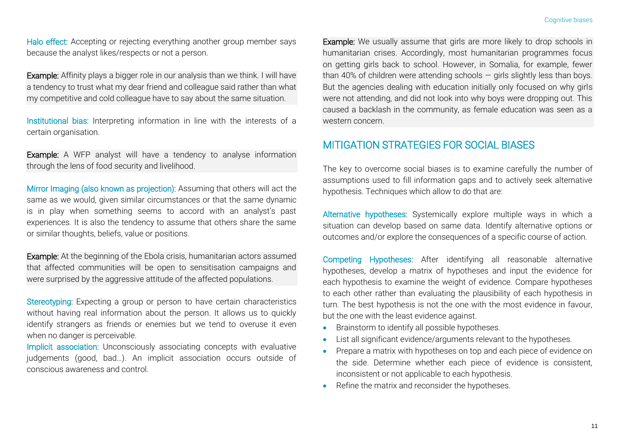Halo effect: Accepting or rejecting everything another group member says because the analyst likes/respects or not a person.

Example: Affinity plays a bigger role in our analysis than we think. I will have a tendency to trust what my dear friend and colleague said rather than what my competitive and cold colleague have to say about the same situation.

Institutional bias: Interpreting information in line with the interests of a certain organisation.

Example: A WFP analyst will have a tendency to analyse information through the lens of food security and livelihood.

Mirror Imaging (also known as projection): Assuming that others will act the same as we would, given similar circumstances or that the same dynamic is in play when something seems to accord with an analyst's past experiences. It is also the tendency to assume that others share the same or similar thoughts, beliefs, value or positions.

Example: At the beginning of the Ebola crisis, humanitarian actors assumed that affected communities will be open to sensitisation campaigns and were surprised by the aggressive attitude of the affected populations.

Stereotyping: Expecting a group or person to have certain characteristics without having real information about the person. It allows us to quickly identify strangers as friends or enemies but we tend to overuse it even when no danger is perceivable.

Implicit association: Unconsciously associating concepts with evaluative judgements (good, bad…). An implicit association occurs outside of conscious awareness and control.

Example: We usually assume that girls are more likely to drop schools in humanitarian crises. Accordingly, most humanitarian programmes focus on getting girls back to school. However, in Somalia, for example, fewer than 40% of children were attending schools  $-$  girls slightly less than boys. But the agencies dealing with education initially only focused on why girls were not attending, and did not look into why boys were dropping out. This caused a backlash in the community, as female education was seen as a western concern.

#### MITIGATION STRATEGIES FOR SOCIAL BIASES

The key to overcome social biases is to examine carefully the number of assumptions used to fill information gaps and to actively seek alternative hypothesis. Techniques which allow to do that are:

Alternative hypotheses: Systemically explore multiple ways in which a situation can develop based on same data. Identify alternative options or outcomes and/or explore the consequences of a specific course of action.

Competing Hypotheses: After identifying all reasonable alternative hypotheses, develop a matrix of hypotheses and input the evidence for each hypothesis to examine the weight of evidence. Compare hypotheses to each other rather than evaluating the plausibility of each hypothesis in turn. The best hypothesis is not the one with the most evidence in favour, but the one with the least evidence against.

- **Brainstorm to identify all possible hypotheses.**
- List all significant evidence/arguments relevant to the hypotheses.
- Prepare a matrix with hypotheses on top and each piece of evidence on the side. Determine whether each piece of evidence is consistent, inconsistent or not applicable to each hypothesis.
- Refine the matrix and reconsider the hypotheses.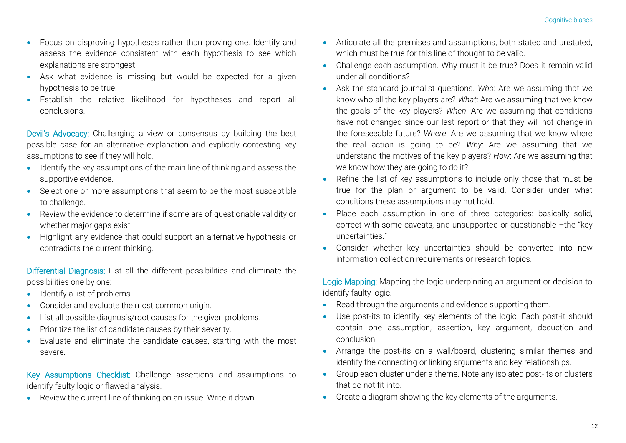- Focus on disproving hypotheses rather than proving one. Identify and assess the evidence consistent with each hypothesis to see which explanations are strongest.
- Ask what evidence is missing but would be expected for a given hypothesis to be true.
- Establish the relative likelihood for hypotheses and report all conclusions.

Devil's Advocacy: Challenging a view or consensus by building the best possible case for an alternative explanation and explicitly contesting key assumptions to see if they will hold.

- Identify the key assumptions of the main line of thinking and assess the supportive evidence.
- Select one or more assumptions that seem to be the most susceptible to challenge.
- Review the evidence to determine if some are of questionable validity or whether major gaps exist.
- Highlight any evidence that could support an alternative hypothesis or contradicts the current thinking.

Differential Diagnosis: List all the different possibilities and eliminate the possibilities one by one:

- Identify a list of problems.
- Consider and evaluate the most common origin.
- List all possible diagnosis/root causes for the given problems.
- Prioritize the list of candidate causes by their severity.
- Evaluate and eliminate the candidate causes, starting with the most severe.

Key Assumptions Checklist: Challenge assertions and assumptions to identify faulty logic or flawed analysis.

Review the current line of thinking on an issue. Write it down.

- Articulate all the premises and assumptions, both stated and unstated, which must be true for this line of thought to be valid.
- Challenge each assumption. Why must it be true? Does it remain valid under all conditions?
- Ask the standard journalist questions. *Who*: Are we assuming that we know who all the key players are? *What*: Are we assuming that we know the goals of the key players? *When*: Are we assuming that conditions have not changed since our last report or that they will not change in the foreseeable future? *Where*: Are we assuming that we know where the real action is going to be? *Why*: Are we assuming that we understand the motives of the key players? *How*: Are we assuming that we know how they are going to do it?
- Refine the list of key assumptions to include only those that must be true for the plan or argument to be valid. Consider under what conditions these assumptions may not hold.
- Place each assumption in one of three categories: basically solid, correct with some caveats, and unsupported or questionable –the "key uncertainties."
- Consider whether key uncertainties should be converted into new information collection requirements or research topics.

Logic Mapping: Mapping the logic underpinning an argument or decision to identify faulty logic.

- Read through the arguments and evidence supporting them.
- Use post-its to identify key elements of the logic. Each post-it should contain one assumption, assertion, key argument, deduction and conclusion.
- Arrange the post-its on a wall/board, clustering similar themes and identify the connecting or linking arguments and key relationships.
- Group each cluster under a theme. Note any isolated post-its or clusters that do not fit into.
- Create a diagram showing the key elements of the arguments.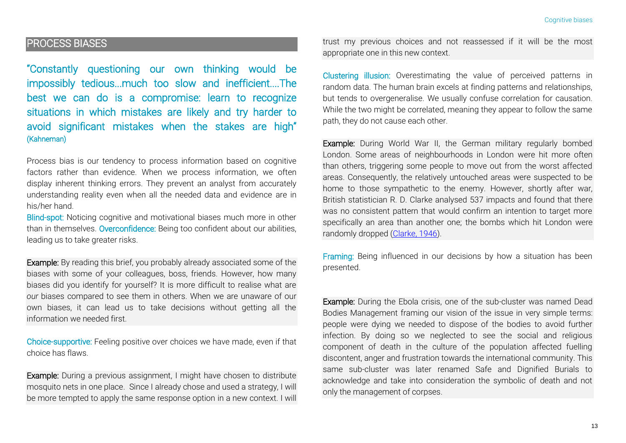#### PROCESS BIASES

"Constantly questioning our own thinking would be impossibly tedious...much too slow and inefficient....The best we can do is a compromise: learn to recognize situations in which mistakes are likely and try harder to avoid significant mistakes when the stakes are high" (Kahneman)

Process bias is our tendency to process information based on cognitive factors rather than evidence. When we process information, we often display inherent thinking errors. They prevent an analyst from accurately understanding reality even when all the needed data and evidence are in his/her hand.

Blind-spot: Noticing cognitive and motivational biases much more in other than in themselves. Overconfidence: Being too confident about our abilities, leading us to take greater risks.

Example: By reading this brief, you probably already associated some of the biases with some of your colleagues, boss, friends. However, how many biases did you identify for yourself? It is more difficult to realise what are *our* biases compared to see them in others. When we are unaware of our own biases, it can lead us to take decisions without getting all the information we needed first.

Choice-supportive: Feeling positive over choices we have made, even if that choice has flaws.

Example: During a previous assignment, I might have chosen to distribute mosquito nets in one place. Since I already chose and used a strategy, I will be more tempted to apply the same response option in a new context. I will trust my previous choices and not reassessed if it will be the most appropriate one in this new context.

Clustering illusion: Overestimating the value of perceived patterns in random data. The human brain excels at finding patterns and relationships, but tends to overgeneralise. We usually confuse correlation for causation. While the two might be correlated, meaning they appear to follow the same path, they do not cause each other.

Example: During World War II, the German military regularly bombed London. Some areas of neighbourhoods in London were hit more often than others, triggering some people to move out from the worst affected areas. Consequently, the relatively untouched areas were suspected to be home to those sympathetic to the enemy. However, shortly after war, British statistician R. D. Clarke analysed 537 impacts and found that there was no consistent pattern that would confirm an intention to target more specifically an area than another one; the bombs which hit London were randomly dropped [\(Clarke, 1946\)](http://bias123.com/clarke,_1946).

Framing: Being influenced in our decisions by how a situation has been presented.

Example: During the Ebola crisis, one of the sub-cluster was named Dead Bodies Management framing our vision of the issue in very simple terms: people were dying we needed to dispose of the bodies to avoid further infection. By doing so we neglected to see the social and religious component of death in the culture of the population affected fuelling discontent, anger and frustration towards the international community. This same sub-cluster was later renamed Safe and Dignified Burials to acknowledge and take into consideration the symbolic of death and not only the management of corpses.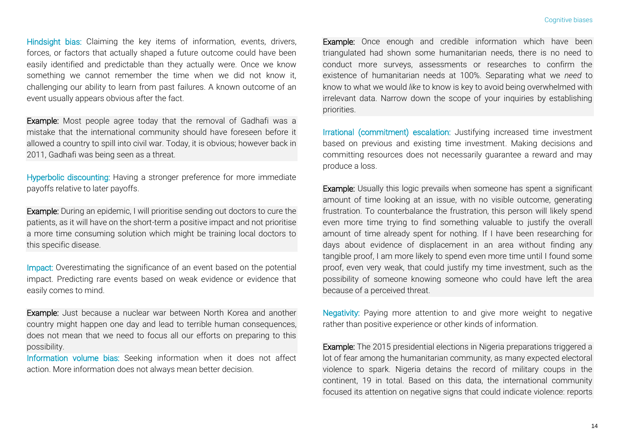Hindsight bias: Claiming the key items of information, events, drivers, forces, or factors that actually shaped a future outcome could have been easily identified and predictable than they actually were. Once we know something we cannot remember the time when we did not know it, challenging our ability to learn from past failures. A known outcome of an event usually appears obvious after the fact.

Example: Most people agree today that the removal of Gadhafi was a mistake that the international community should have foreseen before it allowed a country to spill into civil war. Today, it is obvious; however back in 2011, Gadhafi was being seen as a threat.

Hyperbolic discounting: Having a stronger preference for more immediate payoffs relative to later payoffs.

Example: During an epidemic, I will prioritise sending out doctors to cure the patients, as it will have on the short-term a positive impact and not prioritise a more time consuming solution which might be training local doctors to this specific disease.

Impact: Overestimating the significance of an event based on the potential impact. Predicting rare events based on weak evidence or evidence that easily comes to mind.

Example: Just because a nuclear war between North Korea and another country might happen one day and lead to terrible human consequences, does not mean that we need to focus all our efforts on preparing to this possibility.

Information volume bias: Seeking information when it does not affect action. More information does not always mean better decision.

Example: Once enough and credible information which have been triangulated had shown some humanitarian needs, there is no need to conduct more surveys, assessments or researches to confirm the existence of humanitarian needs at 100%. Separating what we *need* to know to what we would *like* to know is key to avoid being overwhelmed with irrelevant data. Narrow down the scope of your inquiries by establishing priorities.

Irrational (commitment) escalation: Justifying increased time investment based on previous and existing time investment. Making decisions and committing resources does not necessarily guarantee a reward and may produce a loss.

Example: Usually this logic prevails when someone has spent a significant amount of time looking at an issue, with no visible outcome, generating frustration. To counterbalance the frustration, this person will likely spend even more time trying to find something valuable to justify the overall amount of time already spent for nothing. If I have been researching for days about evidence of displacement in an area without finding any tangible proof, I am more likely to spend even more time until I found some proof, even very weak, that could justify my time investment, such as the possibility of someone knowing someone who could have left the area because of a perceived threat.

Negativity: Paying more attention to and give more weight to negative rather than positive experience or other kinds of information.

Example: The 2015 presidential elections in Nigeria preparations triggered a lot of fear among the humanitarian community, as many expected electoral violence to spark. Nigeria detains the record of military coups in the continent, 19 in total. Based on this data, the international community focused its attention on negative signs that could indicate violence: reports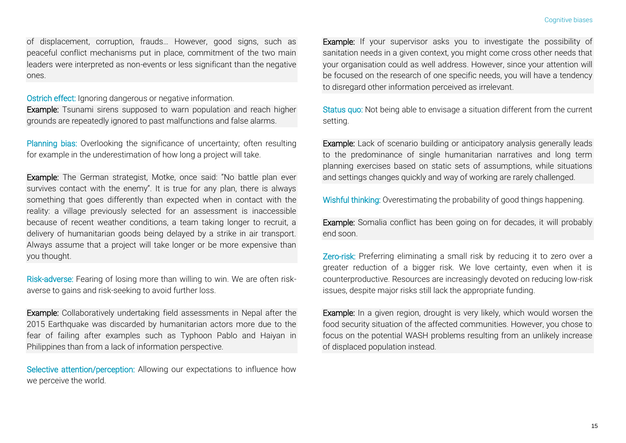of displacement, corruption, frauds… However, good signs, such as peaceful conflict mechanisms put in place, commitment of the two main leaders were interpreted as non-events or less significant than the negative ones.

Ostrich effect: Ignoring dangerous or negative information.

Example: Tsunami sirens supposed to warn population and reach higher grounds are repeatedly ignored to past malfunctions and false alarms.

Planning bias: Overlooking the significance of uncertainty; often resulting for example in the underestimation of how long a project will take.

Example: The German strategist, Motke, once said: "No battle plan ever survives contact with the enemy". It is true for any plan, there is always something that goes differently than expected when in contact with the reality: a village previously selected for an assessment is inaccessible because of recent weather conditions, a team taking longer to recruit, a delivery of humanitarian goods being delayed by a strike in air transport. Always assume that a project will take longer or be more expensive than you thought.

Risk-adverse: Fearing of losing more than willing to win. We are often riskaverse to gains and risk-seeking to avoid further loss.

Example: Collaboratively undertaking field assessments in Nepal after the 2015 Earthquake was discarded by humanitarian actors more due to the fear of failing after examples such as Typhoon Pablo and Haiyan in Philippines than from a lack of information perspective.

Selective attention/perception: Allowing our expectations to influence how we perceive the world.

Example: If your supervisor asks you to investigate the possibility of sanitation needs in a given context, you might come cross other needs that your organisation could as well address. However, since your attention will be focused on the research of one specific needs, you will have a tendency to disregard other information perceived as irrelevant.

Status quo: Not being able to envisage a situation different from the current setting.

Example: Lack of scenario building or anticipatory analysis generally leads to the predominance of single humanitarian narratives and long term planning exercises based on static sets of assumptions, while situations and settings changes quickly and way of working are rarely challenged.

Wishful thinking: Overestimating the probability of good things happening.

Example: Somalia conflict has been going on for decades, it will probably end soon.

Zero-risk: Preferring eliminating a small risk by reducing it to zero over a greater reduction of a bigger risk. We love certainty, even when it is counterproductive. Resources are increasingly devoted on reducing low-risk issues, despite major risks still lack the appropriate funding.

Example: In a given region, drought is very likely, which would worsen the food security situation of the affected communities. However, you chose to focus on the potential WASH problems resulting from an unlikely increase of displaced population instead.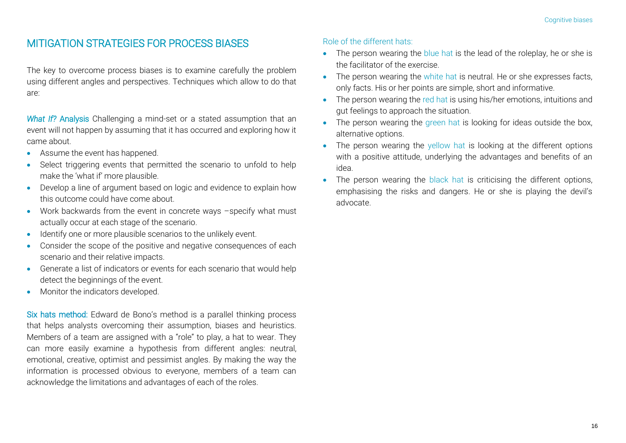#### MITIGATION STRATEGIES FOR PROCESS BIASES

The key to overcome process biases is to examine carefully the problem using different angles and perspectives. Techniques which allow to do that are:

*What If?* Analysis Challenging a mind-set or a stated assumption that an event will not happen by assuming that it has occurred and exploring how it came about.

- Assume the event has happened.
- Select triggering events that permitted the scenario to unfold to help make the 'what if' more plausible.
- Develop a line of argument based on logic and evidence to explain how this outcome could have come about.
- Work backwards from the event in concrete ways –specify what must actually occur at each stage of the scenario.
- Identify one or more plausible scenarios to the unlikely event.
- Consider the scope of the positive and negative consequences of each scenario and their relative impacts.
- Generate a list of indicators or events for each scenario that would help detect the beginnings of the event.
- Monitor the indicators developed.

Six hats method: Edward de Bono's method is a parallel thinking process that helps analysts overcoming their assumption, biases and heuristics. Members of a team are assigned with a "role" to play, a hat to wear. They can more easily examine a hypothesis from different angles: neutral, emotional, creative, optimist and pessimist angles. By making the way the information is processed obvious to everyone, members of a team can acknowledge the limitations and advantages of each of the roles.

#### Role of the different hats:

- The person wearing the blue hat is the lead of the roleplay, he or she is the facilitator of the exercise.
- The person wearing the white hat is neutral. He or she expresses facts, only facts. His or her points are simple, short and informative.
- The person wearing the red hat is using his/her emotions, intuitions and gut feelings to approach the situation.
- The person wearing the green hat is looking for ideas outside the box, alternative options.
- The person wearing the yellow hat is looking at the different options with a positive attitude, underlying the advantages and benefits of an idea.
- The person wearing the black hat is criticising the different options, emphasising the risks and dangers. He or she is playing the devil's advocate.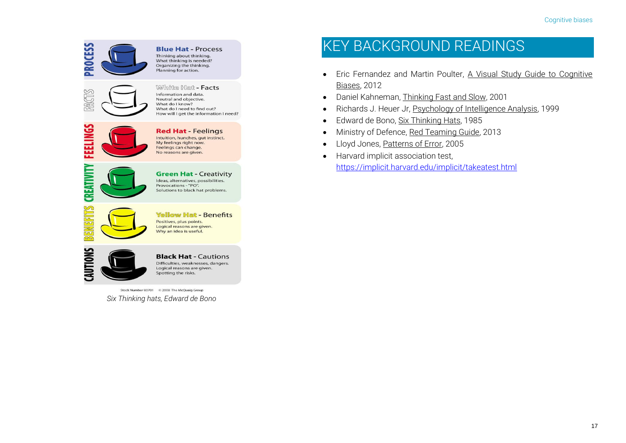

Stock Number 80701 © 2008 The McQuaig Group

*Six Thinking hats, Edward de Bono*

## KEY BACKGROUND READINGS

- Eric Fernandez and Martin Poulter, A Visual Study Guide to Cognitive Biases, 2012
- Daniel Kahneman, Thinking Fast and Slow, 2001
- Richards J. Heuer Jr, Psychology of Intelligence Analysis, 1999
- Edward de Bono, Six Thinking Hats, 1985
- Ministry of Defence, Red Teaming Guide, 2013
- Lloyd Jones, Patterns of Error, 2005
- **•** Harvard implicit association test, <https://implicit.harvard.edu/implicit/takeatest.html>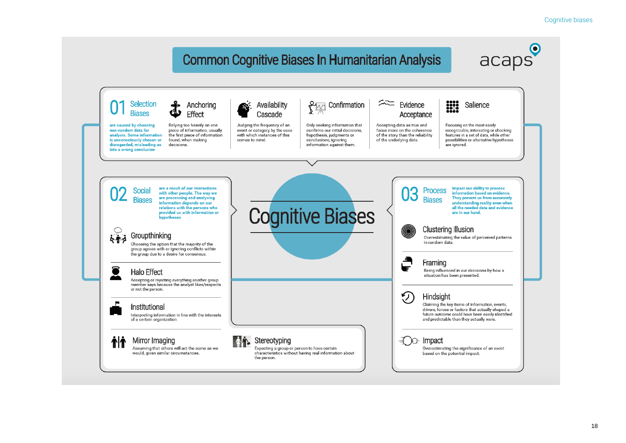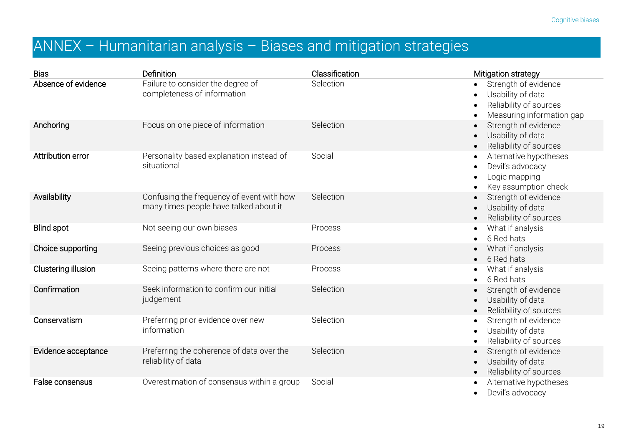## ANNEX – Humanitarian analysis – Biases and mitigation strategies

| <b>Bias</b>         | Definition                                                                          | Classification | Mitigation strategy                                                                              |
|---------------------|-------------------------------------------------------------------------------------|----------------|--------------------------------------------------------------------------------------------------|
| Absence of evidence | Failure to consider the degree of<br>completeness of information                    | Selection      | Strength of evidence<br>Usability of data<br>Reliability of sources<br>Measuring information gap |
| Anchoring           | Focus on one piece of information                                                   | Selection      | Strength of evidence<br>Usability of data<br>Reliability of sources                              |
| Attribution error   | Personality based explanation instead of<br>situational                             | Social         | Alternative hypotheses<br>Devil's advocacy<br>Logic mapping<br>Key assumption check              |
| Availability        | Confusing the frequency of event with how<br>many times people have talked about it | Selection      | Strength of evidence<br>Usability of data<br>Reliability of sources                              |
| <b>Blind spot</b>   | Not seeing our own biases                                                           | Process        | What if analysis<br>6 Red hats                                                                   |
| Choice supporting   | Seeing previous choices as good                                                     | Process        | What if analysis<br>6 Red hats                                                                   |
| Clustering illusion | Seeing patterns where there are not                                                 | Process        | What if analysis<br>6 Red hats                                                                   |
| Confirmation        | Seek information to confirm our initial<br>judgement                                | Selection      | Strength of evidence<br>Usability of data<br>Reliability of sources                              |
| Conservatism        | Preferring prior evidence over new<br>information                                   | Selection      | Strength of evidence<br>Usability of data<br>Reliability of sources                              |
| Evidence acceptance | Preferring the coherence of data over the<br>reliability of data                    | Selection      | Strength of evidence<br>Usability of data<br>Reliability of sources                              |
| False consensus     | Overestimation of consensus within a group                                          | Social         | Alternative hypotheses<br>Devil's advocacy                                                       |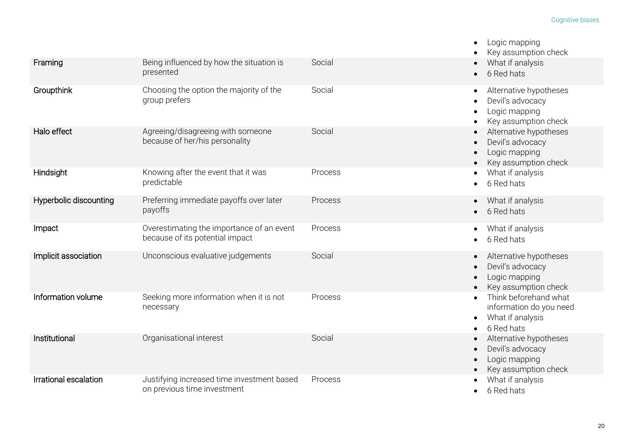|                        |                                                                              |         | Logic mapping<br>Key assumption check                                                   |
|------------------------|------------------------------------------------------------------------------|---------|-----------------------------------------------------------------------------------------|
| Framing                | Being influenced by how the situation is<br>presented                        | Social  | What if analysis<br>6 Red hats                                                          |
| Groupthink             | Choosing the option the majority of the<br>group prefers                     | Social  | Alternative hypotheses<br>Devil's advocacy<br>Logic mapping<br>Key assumption check     |
| Halo effect            | Agreeing/disagreeing with someone<br>because of her/his personality          | Social  | Alternative hypotheses<br>Devil's advocacy<br>Logic mapping<br>Key assumption check     |
| Hindsight              | Knowing after the event that it was<br>predictable                           | Process | What if analysis<br>6 Red hats                                                          |
| Hyperbolic discounting | Preferring immediate payoffs over later<br>payoffs                           | Process | What if analysis<br>6 Red hats                                                          |
| Impact                 | Overestimating the importance of an event<br>because of its potential impact | Process | What if analysis<br>6 Red hats                                                          |
| Implicit association   | Unconscious evaluative judgements                                            | Social  | Alternative hypotheses<br>Devil's advocacy<br>Logic mapping<br>Key assumption check     |
| Information volume     | Seeking more information when it is not<br>necessary                         | Process | Think beforehand what<br>information do you need<br>What if analysis<br>٠<br>6 Red hats |
| Institutional          | Organisational interest                                                      | Social  | Alternative hypotheses<br>Devil's advocacy<br>Logic mapping<br>Key assumption check     |
| Irrational escalation  | Justifying increased time investment based<br>on previous time investment    | Process | What if analysis<br>6 Red hats                                                          |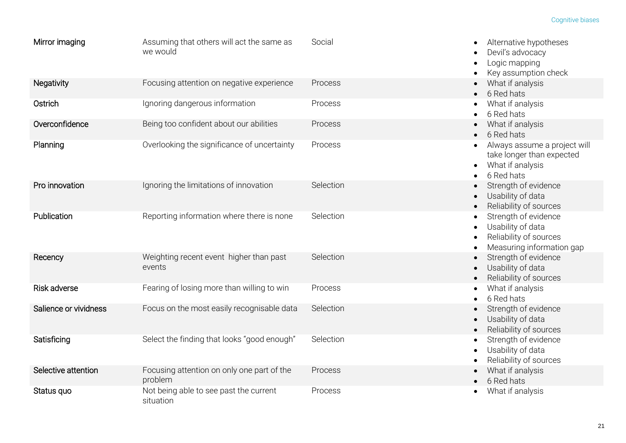| Mirror imaging        | Assuming that others will act the same as<br>we would | Social    | Alternative hypotheses<br>Devil's advocacy<br>Logic mapping<br>Key assumption check              |
|-----------------------|-------------------------------------------------------|-----------|--------------------------------------------------------------------------------------------------|
| Negativity            | Focusing attention on negative experience             | Process   | What if analysis<br>6 Red hats                                                                   |
| Ostrich               | Ignoring dangerous information                        | Process   | What if analysis<br>6 Red hats                                                                   |
| Overconfidence        | Being too confident about our abilities               | Process   | What if analysis<br>6 Red hats                                                                   |
| Planning              | Overlooking the significance of uncertainty           | Process   | Always assume a project will<br>take longer than expected<br>What if analysis<br>6 Red hats      |
| Pro innovation        | Ignoring the limitations of innovation                | Selection | Strength of evidence<br>Usability of data<br>Reliability of sources                              |
| Publication           | Reporting information where there is none             | Selection | Strength of evidence<br>Usability of data<br>Reliability of sources<br>Measuring information gap |
| Recency               | Weighting recent event higher than past<br>events     | Selection | Strength of evidence<br>Usability of data<br>Reliability of sources                              |
| <b>Risk adverse</b>   | Fearing of losing more than willing to win            | Process   | What if analysis<br>6 Red hats                                                                   |
| Salience or vividness | Focus on the most easily recognisable data            | Selection | Strength of evidence<br>Usability of data<br>Reliability of sources                              |
| Satisficing           | Select the finding that looks "good enough"           | Selection | Strength of evidence<br>$\bullet$<br>Usability of data<br>Reliability of sources                 |
| Selective attention   | Focusing attention on only one part of the<br>problem | Process   | What if analysis<br>6 Red hats                                                                   |
| Status quo            | Not being able to see past the current<br>situation   | Process   | What if analysis                                                                                 |